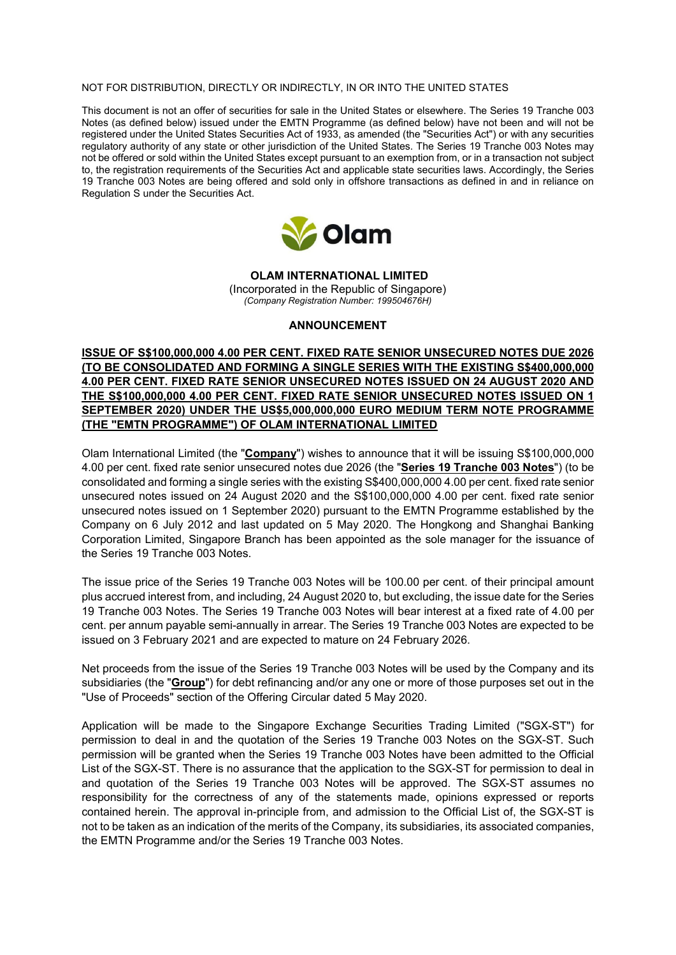### NOT FOR DISTRIBUTION, DIRECTLY OR INDIRECTLY, IN OR INTO THE UNITED STATES

This document is not an offer of securities for sale in the United States or elsewhere. The Series 19 Tranche 003 Notes (as defined below) issued under the EMTN Programme (as defined below) have not been and will not be registered under the United States Securities Act of 1933, as amended (the "Securities Act") or with any securities regulatory authority of any state or other jurisdiction of the United States. The Series 19 Tranche 003 Notes may not be offered or sold within the United States except pursuant to an exemption from, or in a transaction not subject to, the registration requirements of the Securities Act and applicable state securities laws. Accordingly, the Series 19 Tranche 003 Notes are being offered and sold only in offshore transactions as defined in and in reliance on Regulation S under the Securities Act.



**OLAM INTERNATIONAL LIMITED**  (Incorporated in the Republic of Singapore) *(Company Registration Number: 199504676H)* 

### **ANNOUNCEMENT**

**ISSUE OF S\$100,000,000 4.00 PER CENT. FIXED RATE SENIOR UNSECURED NOTES DUE 2026 (TO BE CONSOLIDATED AND FORMING A SINGLE SERIES WITH THE EXISTING S\$400,000,000 4.00 PER CENT. FIXED RATE SENIOR UNSECURED NOTES ISSUED ON 24 AUGUST 2020 AND THE S\$100,000,000 4.00 PER CENT. FIXED RATE SENIOR UNSECURED NOTES ISSUED ON 1 SEPTEMBER 2020) UNDER THE US\$5,000,000,000 EURO MEDIUM TERM NOTE PROGRAMME (THE "EMTN PROGRAMME") OF OLAM INTERNATIONAL LIMITED** 

Olam International Limited (the "**Company**") wishes to announce that it will be issuing S\$100,000,000 4.00 per cent. fixed rate senior unsecured notes due 2026 (the "**Series 19 Tranche 003 Notes**") (to be consolidated and forming a single series with the existing S\$400,000,000 4.00 per cent. fixed rate senior unsecured notes issued on 24 August 2020 and the S\$100,000,000 4.00 per cent. fixed rate senior unsecured notes issued on 1 September 2020) pursuant to the EMTN Programme established by the Company on 6 July 2012 and last updated on 5 May 2020. The Hongkong and Shanghai Banking Corporation Limited, Singapore Branch has been appointed as the sole manager for the issuance of the Series 19 Tranche 003 Notes.

The issue price of the Series 19 Tranche 003 Notes will be 100.00 per cent. of their principal amount plus accrued interest from, and including, 24 August 2020 to, but excluding, the issue date for the Series 19 Tranche 003 Notes. The Series 19 Tranche 003 Notes will bear interest at a fixed rate of 4.00 per cent. per annum payable semi-annually in arrear. The Series 19 Tranche 003 Notes are expected to be issued on 3 February 2021 and are expected to mature on 24 February 2026.

Net proceeds from the issue of the Series 19 Tranche 003 Notes will be used by the Company and its subsidiaries (the "**Group**") for debt refinancing and/or any one or more of those purposes set out in the "Use of Proceeds" section of the Offering Circular dated 5 May 2020.

Application will be made to the Singapore Exchange Securities Trading Limited ("SGX-ST") for permission to deal in and the quotation of the Series 19 Tranche 003 Notes on the SGX-ST. Such permission will be granted when the Series 19 Tranche 003 Notes have been admitted to the Official List of the SGX-ST. There is no assurance that the application to the SGX-ST for permission to deal in and quotation of the Series 19 Tranche 003 Notes will be approved. The SGX-ST assumes no responsibility for the correctness of any of the statements made, opinions expressed or reports contained herein. The approval in-principle from, and admission to the Official List of, the SGX-ST is not to be taken as an indication of the merits of the Company, its subsidiaries, its associated companies, the EMTN Programme and/or the Series 19 Tranche 003 Notes.